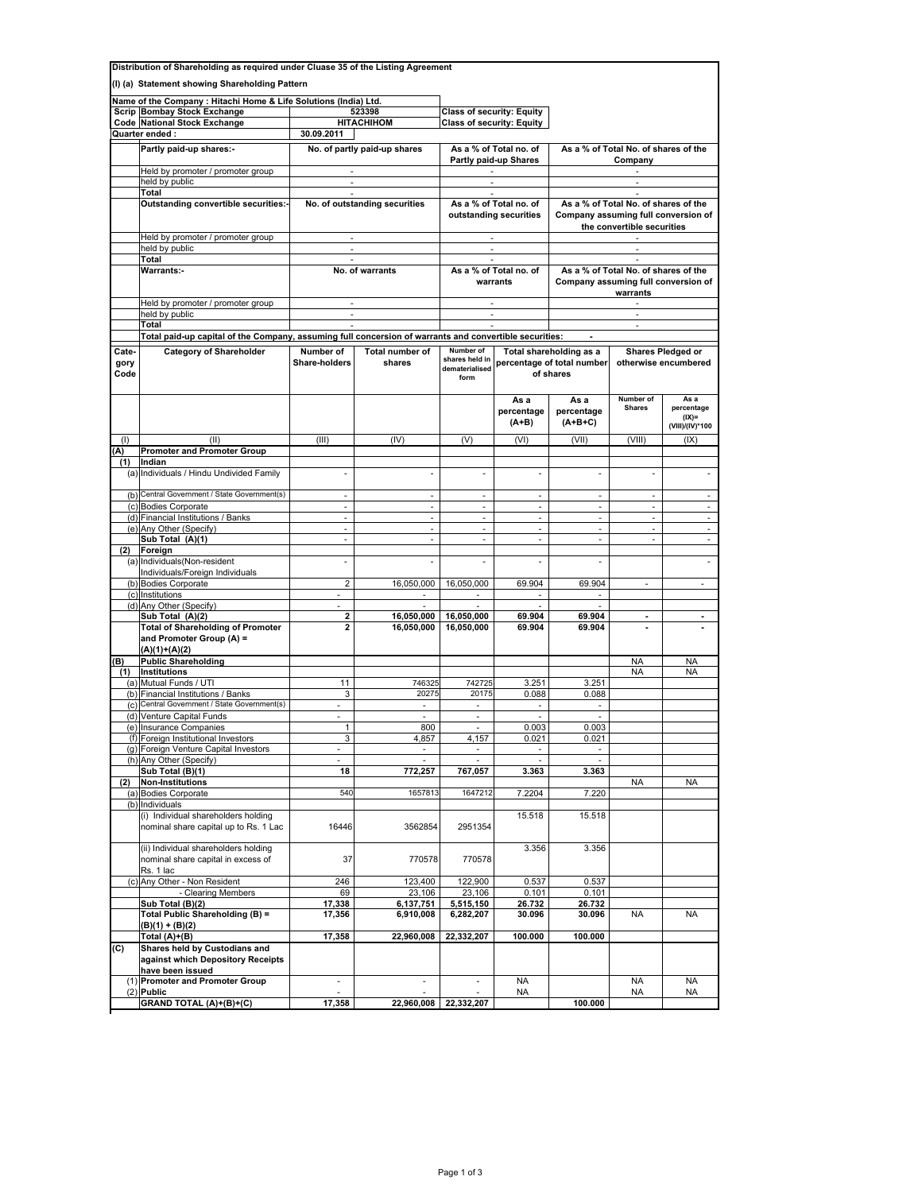| Distribution of Shareholding as required under Cluase 35 of the Listing Agreement |                                                                                                                 |                                  |                               |                                                    |                                |                                                                    |                                                         |                                                  |  |  |
|-----------------------------------------------------------------------------------|-----------------------------------------------------------------------------------------------------------------|----------------------------------|-------------------------------|----------------------------------------------------|--------------------------------|--------------------------------------------------------------------|---------------------------------------------------------|--------------------------------------------------|--|--|
| (I) (a) Statement showing Shareholding Pattern                                    |                                                                                                                 |                                  |                               |                                                    |                                |                                                                    |                                                         |                                                  |  |  |
|                                                                                   | Name of the Company : Hitachi Home & Life Solutions (India) Ltd.                                                |                                  |                               |                                                    |                                |                                                                    |                                                         |                                                  |  |  |
|                                                                                   | <b>Scrip Bombay Stock Exchange</b>                                                                              | 523398                           |                               | <b>Class of security: Equity</b>                   |                                |                                                                    |                                                         |                                                  |  |  |
|                                                                                   | Code National Stock Exchange                                                                                    | <b>HITACHIHOM</b>                |                               | <b>Class of security: Equity</b>                   |                                |                                                                    |                                                         |                                                  |  |  |
|                                                                                   | Quarter ended :                                                                                                 | 30.09.2011                       |                               |                                                    |                                |                                                                    |                                                         |                                                  |  |  |
|                                                                                   | Partly paid-up shares:-                                                                                         | No. of partly paid-up shares     |                               | As a % of Total no. of                             |                                | As a % of Total No. of shares of the                               |                                                         |                                                  |  |  |
|                                                                                   | Held by promoter / promoter group                                                                               | $\overline{\phantom{a}}$         |                               | Partly paid-up Shares                              |                                | Company                                                            |                                                         |                                                  |  |  |
|                                                                                   | held by public                                                                                                  | ÷.                               |                               |                                                    |                                |                                                                    |                                                         |                                                  |  |  |
|                                                                                   | Total<br>Outstanding convertible securities:-                                                                   | $\sim$                           | No. of outstanding securities | $\overline{\phantom{a}}$<br>As a % of Total no. of |                                | As a % of Total No. of shares of the                               |                                                         |                                                  |  |  |
|                                                                                   |                                                                                                                 |                                  |                               | outstanding securities                             |                                | Company assuming full conversion of                                |                                                         |                                                  |  |  |
|                                                                                   |                                                                                                                 |                                  |                               |                                                    |                                | the convertible securities                                         |                                                         |                                                  |  |  |
|                                                                                   | Held by promoter / promoter group<br>held by public                                                             | $\sim$<br>×.                     |                               | $\sim$<br>$\sim$                                   |                                | $\sim$<br>$\sim$                                                   |                                                         |                                                  |  |  |
|                                                                                   | Total                                                                                                           | $\overline{\phantom{a}}$         |                               | $\mathcal{L}_{\mathcal{A}}$                        |                                | $\sim$                                                             |                                                         |                                                  |  |  |
|                                                                                   | <b>Warrants:-</b>                                                                                               | No. of warrants                  |                               | As a % of Total no. of                             |                                | As a % of Total No. of shares of the                               |                                                         |                                                  |  |  |
|                                                                                   |                                                                                                                 |                                  |                               | warrants                                           |                                | Company assuming full conversion of<br>warrants                    |                                                         |                                                  |  |  |
|                                                                                   | Held by promoter / promoter group                                                                               |                                  |                               |                                                    |                                |                                                                    |                                                         |                                                  |  |  |
|                                                                                   | held by public                                                                                                  |                                  |                               | ÷.                                                 |                                | $\sim$                                                             |                                                         |                                                  |  |  |
|                                                                                   | Total<br>Total paid-up capital of the Company, assuming full concersion of warrants and convertible securities: | $\mathcal{L}_{\mathcal{A}}$      |                               |                                                    |                                |                                                                    |                                                         |                                                  |  |  |
| Cate-                                                                             | <b>Category of Shareholder</b>                                                                                  | Number of                        | Total number of               | Number of                                          |                                |                                                                    |                                                         | <b>Shares Pledged or</b>                         |  |  |
| gory<br>Code                                                                      |                                                                                                                 | <b>Share-holders</b>             | shares                        | shares held in<br>dematerialised<br>form           |                                | Total shareholding as a<br>percentage of total number<br>of shares |                                                         | otherwise encumbered                             |  |  |
|                                                                                   |                                                                                                                 |                                  |                               |                                                    | As a<br>percentage<br>$(A+B)$  | As a<br>percentage<br>(A+B+C)                                      | Number of<br><b>Shares</b>                              | As a<br>percentage<br>$(IX)=$<br>(VIII)/(IV)*100 |  |  |
| (1)                                                                               | (II)                                                                                                            | (III)                            | (IV)                          | (V)                                                | (VI)                           | (VII)                                                              | (VIII)                                                  | (IX)                                             |  |  |
| (A)                                                                               | <b>Promoter and Promoter Group</b>                                                                              |                                  |                               |                                                    |                                |                                                                    |                                                         |                                                  |  |  |
| (1)                                                                               | Indian<br>(a) Individuals / Hindu Undivided Family                                                              |                                  |                               |                                                    |                                | ä,                                                                 |                                                         |                                                  |  |  |
|                                                                                   |                                                                                                                 |                                  |                               |                                                    |                                |                                                                    |                                                         |                                                  |  |  |
| (b)                                                                               | Central Government / State Government(s)                                                                        | ÷                                | $\overline{\phantom{a}}$      | $\overline{\phantom{a}}$                           | $\overline{\phantom{a}}$       | $\overline{\phantom{a}}$                                           | $\overline{\phantom{a}}$                                | $\overline{\phantom{a}}$                         |  |  |
|                                                                                   | (c) Bodies Corporate<br>(d) Financial Institutions / Banks                                                      | $\mathcal{L}_{\mathcal{A}}$<br>÷ | ÷,                            | $\sim$<br>$\overline{\phantom{a}}$                 | $\omega$<br>ä,                 | $\omega$<br>÷,                                                     | $\mathcal{L}_{\mathcal{A}}$<br>$\overline{\phantom{a}}$ | $\mathcal{L}$<br>$\overline{\phantom{a}}$        |  |  |
| (e)                                                                               | Any Other (Specify)                                                                                             | $\omega$                         | ÷.                            | ÷.                                                 | $\omega$                       | ÷.                                                                 | $\mathcal{L}_{\mathcal{A}}$                             | ÷.                                               |  |  |
|                                                                                   | Sub Total (A)(1)                                                                                                | $\overline{\phantom{a}}$         | ÷.                            | $\sim$                                             | $\overline{\phantom{a}}$       | $\overline{\phantom{a}}$                                           | $\mathcal{L}_{\mathcal{A}}$                             | ÷.                                               |  |  |
| (2)<br>(a)                                                                        | Foreign<br>Individuals(Non-resident                                                                             | ä,                               |                               |                                                    |                                | $\overline{\phantom{a}}$                                           |                                                         |                                                  |  |  |
|                                                                                   | Individuals/Foreign Individuals                                                                                 |                                  |                               |                                                    |                                |                                                                    |                                                         |                                                  |  |  |
|                                                                                   | (b) Bodies Corporate                                                                                            | 2                                | 16,050,000                    | 16,050,000                                         | 69.904                         | 69.904                                                             |                                                         |                                                  |  |  |
|                                                                                   | (c) Institutions<br>(d) Any Other (Specify)                                                                     | $\overline{\phantom{a}}$         | $\sim$                        | $\sim$                                             | $\overline{\phantom{a}}$<br>×. | $\overline{\phantom{a}}$<br>÷.                                     |                                                         |                                                  |  |  |
|                                                                                   | Sub Total (A)(2)                                                                                                | 2                                | 16,050,000                    | 16,050,000                                         | 69.904                         | 69.904                                                             | $\blacksquare$                                          |                                                  |  |  |
|                                                                                   | <b>Total of Shareholding of Promoter</b><br>and Promoter Group (A) =<br>(A)(1)+(A)(2)                           | $\mathbf{z}$                     | 16,050,000                    | 16,050,000                                         | 69.904                         | 69.904                                                             | $\blacksquare$                                          |                                                  |  |  |
| (B)<br>(1)                                                                        | <b>Public Shareholding</b><br><b>Institutions</b>                                                               |                                  |                               |                                                    |                                |                                                                    | <b>NA</b><br><b>NA</b>                                  | <b>NA</b><br><b>NA</b>                           |  |  |
| (a)                                                                               | Mutual Funds / UTI                                                                                              | 11                               | 746325                        | 742725                                             | 3.251                          | 3.251                                                              |                                                         |                                                  |  |  |
|                                                                                   | (b) Financial Institutions / Banks                                                                              | 3                                | 20275                         | 20175                                              | 0.088                          | 0.088                                                              |                                                         |                                                  |  |  |
| (c)                                                                               | Central Government / State Government(s)<br>(d) Venture Capital Funds                                           |                                  | $\sim$                        | ÷<br>×.                                            | ×.                             | ×.<br>×.                                                           |                                                         |                                                  |  |  |
|                                                                                   | (e) Insurance Companies                                                                                         | $\mathbf{1}$                     | 800                           | $\omega$                                           | 0.003                          | 0.003                                                              |                                                         |                                                  |  |  |
|                                                                                   | (f) Foreign Institutional Investors                                                                             | 3                                | 4,857                         | 4,157                                              | 0.021                          | 0.021                                                              |                                                         |                                                  |  |  |
|                                                                                   | (g) Foreign Venture Capital Investors<br>(h) Any Other (Specify)                                                | $\overline{\phantom{a}}$         | $\overline{\phantom{a}}$      | $\sim$                                             | $\overline{\phantom{a}}$       | $\overline{\phantom{a}}$                                           |                                                         |                                                  |  |  |
|                                                                                   | Sub Total (B)(1)                                                                                                | 18                               | 772,257                       | 767,057                                            | 3.363                          | 3.363                                                              |                                                         |                                                  |  |  |
| (2)                                                                               | <b>Non-Institutions</b>                                                                                         |                                  |                               |                                                    |                                |                                                                    | <b>NA</b>                                               | <b>NA</b>                                        |  |  |
| (b)                                                                               | (a) Bodies Corporate<br>Individuals                                                                             | 540                              | 1657813                       | 1647212                                            | 7.2204                         | 7.220                                                              |                                                         |                                                  |  |  |
|                                                                                   | (i) Individual shareholders holding<br>nominal share capital up to Rs. 1 Lac                                    | 16446                            | 3562854                       | 2951354                                            | 15.518                         | 15.518                                                             |                                                         |                                                  |  |  |
|                                                                                   | (ii) Individual shareholders holding<br>nominal share capital in excess of<br>Rs. 1 lac                         | 37                               | 770578                        | 770578                                             | 3.356                          | 3.356                                                              |                                                         |                                                  |  |  |
| (c)                                                                               | Any Other - Non Resident                                                                                        | 246                              | 123,400                       | 122,900                                            | 0.537                          | 0.537                                                              |                                                         |                                                  |  |  |
|                                                                                   | - Clearing Members<br>Sub Total (B)(2)                                                                          | 69<br>17,338                     | 23,106<br>6,137,751           | 23,106<br>5,515,150                                | 0.101<br>26.732                | 0.101<br>26.732                                                    |                                                         |                                                  |  |  |
|                                                                                   | Total Public Shareholding (B) =<br>(B)(1) + (B)(2)                                                              | 17,356                           | 6,910,008                     | 6,282,207                                          | 30.096                         | 30.096                                                             | NA                                                      | <b>NA</b>                                        |  |  |
|                                                                                   | Total (A)+(B)                                                                                                   | 17,358                           | 22,960,008                    | 22,332,207                                         | 100.000                        | 100.000                                                            |                                                         |                                                  |  |  |
| (C)                                                                               | Shares held by Custodians and<br>against which Depository Receipts<br>have been issued                          |                                  |                               |                                                    |                                |                                                                    |                                                         |                                                  |  |  |
| (1)                                                                               | <b>Promoter and Promoter Group</b><br>$(2)$ Public                                                              | ä,                               | ×,                            |                                                    | NA                             |                                                                    | NA                                                      | <b>NA</b>                                        |  |  |
|                                                                                   | GRAND TOTAL (A)+(B)+(C)                                                                                         | 17,358                           | 22,960,008                    | 22,332,207                                         | NA                             | 100.000                                                            | NA                                                      | NA                                               |  |  |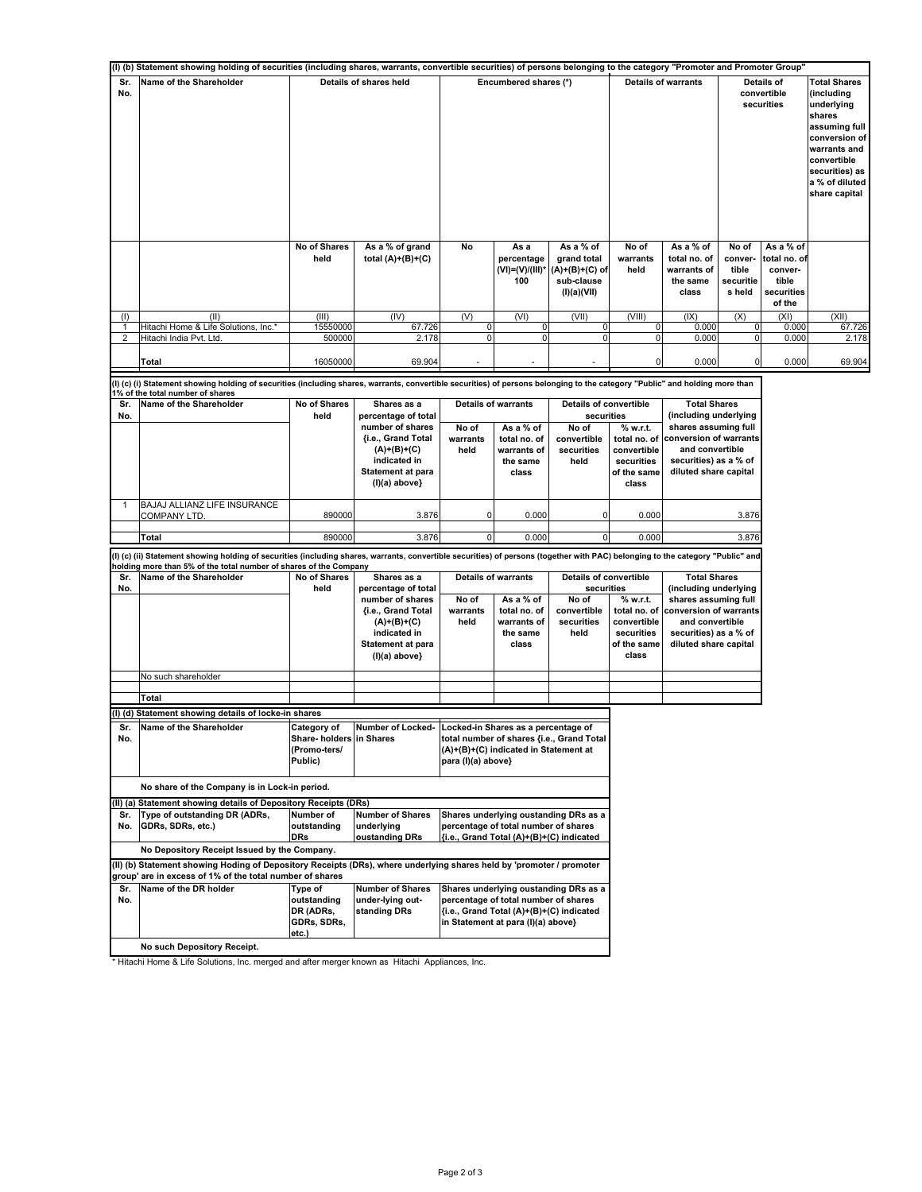| (I) (b) Statement showing holding of securities (including shares, warrants, convertible securities) of persons belonging to the category "Promoter and Promoter Group" |                                                                                                                                                                                 |                           |                                             |                          |                                                   |                                                                         |                             |                                                               |                                                  |                                                                       |                                                                                                                                                                                 |
|-------------------------------------------------------------------------------------------------------------------------------------------------------------------------|---------------------------------------------------------------------------------------------------------------------------------------------------------------------------------|---------------------------|---------------------------------------------|--------------------------|---------------------------------------------------|-------------------------------------------------------------------------|-----------------------------|---------------------------------------------------------------|--------------------------------------------------|-----------------------------------------------------------------------|---------------------------------------------------------------------------------------------------------------------------------------------------------------------------------|
| Sr.<br>No.                                                                                                                                                              | Name of the Shareholder                                                                                                                                                         |                           | Details of shares held                      |                          | Encumbered shares (*)                             |                                                                         | <b>Details of warrants</b>  |                                                               | Details of<br>convertible<br>securities          |                                                                       | <b>Total Shares</b><br>(including<br>underlying<br>shares<br>assuming full<br>conversion of<br>warrants and<br>convertible<br>securities) as<br>a % of diluted<br>share capital |
|                                                                                                                                                                         |                                                                                                                                                                                 | No of Shares<br>held      | As a % of grand<br>total $(A)+(B)+(C)$      | No                       | As a<br>percentage<br>$(VI) = (V)/(III)^*$<br>100 | As a % of<br>grand total<br>(A)+(B)+(C) of<br>sub-clause<br>(I)(a)(VII) | No of<br>warrants<br>held   | As a % of<br>total no. of<br>warrants of<br>the same<br>class | No of<br>conver-<br>tible<br>securitie<br>s held | As a % of<br>total no. of<br>conver-<br>tible<br>securities<br>of the |                                                                                                                                                                                 |
| (1)                                                                                                                                                                     | (II)                                                                                                                                                                            | (III)                     | (IV)                                        | (V)                      | (VI)                                              | (VII)                                                                   | (VIII)                      | (IX)                                                          | (X)                                              | (XI)                                                                  | (XII)                                                                                                                                                                           |
| 1<br>2                                                                                                                                                                  | Hitachi Home & Life Solutions, Inc.*<br>Hitachi India Pvt. Ltd.                                                                                                                 | 15550000<br>500000        | 67.726<br>2.178                             | $\pmb{0}$<br>$\mathbf 0$ | 0<br>0                                            | 0<br>$\mathbf 0$                                                        | 0<br>0                      | 0.000<br>0.000                                                | 0<br>0                                           | 0.000<br>0.000                                                        | 67.726<br>2.178                                                                                                                                                                 |
|                                                                                                                                                                         | <b>Total</b>                                                                                                                                                                    | 16050000                  | 69.904                                      |                          |                                                   |                                                                         |                             | 0.000                                                         | 0                                                | 0.000                                                                 | 69.904                                                                                                                                                                          |
|                                                                                                                                                                         | (I) (c) (i) Statement showing holding of securities (including shares, warrants, convertible securities) of persons belonging to the category "Public" and holding more than    |                           |                                             |                          |                                                   |                                                                         |                             |                                                               |                                                  |                                                                       |                                                                                                                                                                                 |
| Sr.                                                                                                                                                                     | 1% of the total number of shares<br>Name of the Shareholder                                                                                                                     | No of Shares              | Shares as a                                 |                          | <b>Details of warrants</b>                        | Details of convertible                                                  |                             | <b>Total Shares</b>                                           |                                                  |                                                                       |                                                                                                                                                                                 |
| No.                                                                                                                                                                     |                                                                                                                                                                                 | held                      | percentage of total                         |                          |                                                   | securities                                                              |                             | (including underlying                                         |                                                  |                                                                       |                                                                                                                                                                                 |
|                                                                                                                                                                         |                                                                                                                                                                                 |                           | number of shares                            | No of                    | As a % of                                         | No of                                                                   | % w.r.t.                    | shares assuming full                                          |                                                  |                                                                       |                                                                                                                                                                                 |
|                                                                                                                                                                         |                                                                                                                                                                                 |                           | <b>fi.e., Grand Total</b><br>$(A)+(B)+(C)$  | warrants<br>held         | total no. of<br>warrants of                       | convertible<br>securities                                               | total no. of<br>convertible | conversion of warrants<br>and convertible                     |                                                  |                                                                       |                                                                                                                                                                                 |
|                                                                                                                                                                         |                                                                                                                                                                                 |                           | indicated in                                |                          | the same                                          | held                                                                    | securities                  | securities) as a % of                                         |                                                  |                                                                       |                                                                                                                                                                                 |
|                                                                                                                                                                         |                                                                                                                                                                                 |                           | Statement at para                           |                          | class                                             |                                                                         | of the same                 | diluted share capital                                         |                                                  |                                                                       |                                                                                                                                                                                 |
|                                                                                                                                                                         |                                                                                                                                                                                 |                           | $(I)(a)$ above}                             |                          |                                                   |                                                                         | class                       |                                                               |                                                  |                                                                       |                                                                                                                                                                                 |
|                                                                                                                                                                         | BAJAJ ALLIANZ LIFE INSURANCE                                                                                                                                                    |                           |                                             |                          |                                                   |                                                                         |                             |                                                               |                                                  |                                                                       |                                                                                                                                                                                 |
|                                                                                                                                                                         | <b>COMPANY LTD</b>                                                                                                                                                              | 890000                    | 3.876                                       | 0                        | 0.000                                             | 0                                                                       | 0.000                       |                                                               | 3.876                                            |                                                                       |                                                                                                                                                                                 |
|                                                                                                                                                                         |                                                                                                                                                                                 |                           |                                             |                          |                                                   |                                                                         |                             |                                                               |                                                  |                                                                       |                                                                                                                                                                                 |
|                                                                                                                                                                         | Total                                                                                                                                                                           | 890000                    | 3.876                                       | 0                        | 0.000                                             | 0                                                                       | 0.000                       |                                                               | 3.876                                            |                                                                       |                                                                                                                                                                                 |
|                                                                                                                                                                         | (I) (c) (ii) Statement showing holding of securities (including shares, warrants, convertible securities) of persons (together with PAC) belonging to the category "Public" and |                           |                                             |                          |                                                   |                                                                         |                             |                                                               |                                                  |                                                                       |                                                                                                                                                                                 |
| Sr.                                                                                                                                                                     | nolding more than 5% of the total number of shares of the Company<br>Name of the Shareholder                                                                                    | No of Shares              | Shares as a                                 |                          | <b>Details of warrants</b>                        | <b>Details of convertible</b>                                           |                             | <b>Total Shares</b>                                           |                                                  |                                                                       |                                                                                                                                                                                 |
| No.                                                                                                                                                                     |                                                                                                                                                                                 | held                      | percentage of total                         |                          |                                                   | securities                                                              |                             | (including underlying                                         |                                                  |                                                                       |                                                                                                                                                                                 |
|                                                                                                                                                                         |                                                                                                                                                                                 |                           | number of shares                            | No of                    | As a % of                                         | No of                                                                   | % w.r.t.                    | shares assuming full                                          |                                                  |                                                                       |                                                                                                                                                                                 |
|                                                                                                                                                                         |                                                                                                                                                                                 |                           | {i.e., Grand Total                          | warrants<br>held         | total no. of<br>warrants of                       | convertible<br>securities                                               | total no. of<br>convertible | conversion of warrants<br>and convertible                     |                                                  |                                                                       |                                                                                                                                                                                 |
|                                                                                                                                                                         |                                                                                                                                                                                 |                           | $(A)+(B)+(C)$<br>indicated in               |                          | the same                                          | held                                                                    | securities                  | securities) as a % of                                         |                                                  |                                                                       |                                                                                                                                                                                 |
|                                                                                                                                                                         |                                                                                                                                                                                 |                           | <b>Statement at para</b>                    |                          | class                                             |                                                                         | of the same                 | diluted share capital                                         |                                                  |                                                                       |                                                                                                                                                                                 |
|                                                                                                                                                                         |                                                                                                                                                                                 |                           | (I)(a) above}                               |                          |                                                   |                                                                         | class                       |                                                               |                                                  |                                                                       |                                                                                                                                                                                 |
|                                                                                                                                                                         | No such shareholder                                                                                                                                                             |                           |                                             |                          |                                                   |                                                                         |                             |                                                               |                                                  |                                                                       |                                                                                                                                                                                 |
|                                                                                                                                                                         | Total                                                                                                                                                                           |                           |                                             |                          |                                                   |                                                                         |                             |                                                               |                                                  |                                                                       |                                                                                                                                                                                 |
|                                                                                                                                                                         | (I) (d) Statement showing details of locke-in shares                                                                                                                            |                           |                                             |                          |                                                   |                                                                         |                             |                                                               |                                                  |                                                                       |                                                                                                                                                                                 |
| Sr.                                                                                                                                                                     | Name of the Shareholder                                                                                                                                                         | Category of               | Number of Locked-                           |                          | Locked-in Shares as a percentage of               |                                                                         |                             |                                                               |                                                  |                                                                       |                                                                                                                                                                                 |
| No.                                                                                                                                                                     |                                                                                                                                                                                 | Share- holders  in Shares |                                             |                          |                                                   | total number of shares {i.e., Grand Total                               |                             |                                                               |                                                  |                                                                       |                                                                                                                                                                                 |
|                                                                                                                                                                         |                                                                                                                                                                                 | (Promo-ters/              |                                             |                          | (A)+(B)+(C) indicated in Statement at             |                                                                         |                             |                                                               |                                                  |                                                                       |                                                                                                                                                                                 |
|                                                                                                                                                                         |                                                                                                                                                                                 | Public)                   |                                             | para (I)(a) above}       |                                                   |                                                                         |                             |                                                               |                                                  |                                                                       |                                                                                                                                                                                 |
|                                                                                                                                                                         | No share of the Company is in Lock-in period.                                                                                                                                   |                           |                                             |                          |                                                   |                                                                         |                             |                                                               |                                                  |                                                                       |                                                                                                                                                                                 |
|                                                                                                                                                                         | (II) (a) Statement showing details of Depository Receipts (DRs)                                                                                                                 |                           |                                             |                          |                                                   |                                                                         |                             |                                                               |                                                  |                                                                       |                                                                                                                                                                                 |
| Sr.                                                                                                                                                                     | Type of outstanding DR (ADRs,                                                                                                                                                   | Number of                 | Number of Shares                            |                          |                                                   | Shares underlying oustanding DRs as a                                   |                             |                                                               |                                                  |                                                                       |                                                                                                                                                                                 |
| No.                                                                                                                                                                     | GDRs, SDRs, etc.)                                                                                                                                                               | outstanding<br><b>DRs</b> | underlying<br>oustanding DRs                |                          | percentage of total number of shares              |                                                                         |                             |                                                               |                                                  |                                                                       |                                                                                                                                                                                 |
|                                                                                                                                                                         |                                                                                                                                                                                 |                           |                                             |                          |                                                   | {i.e., Grand Total (A)+(B)+(C) indicated                                |                             |                                                               |                                                  |                                                                       |                                                                                                                                                                                 |
|                                                                                                                                                                         | No Depository Receipt Issued by the Company.<br>(II) (b) Statement showing Hoding of Depository Receipts (DRs), where underlying shares held by 'promoter / promoter            |                           |                                             |                          |                                                   |                                                                         |                             |                                                               |                                                  |                                                                       |                                                                                                                                                                                 |
|                                                                                                                                                                         | group' are in excess of 1% of the total number of shares                                                                                                                        |                           |                                             |                          |                                                   |                                                                         |                             |                                                               |                                                  |                                                                       |                                                                                                                                                                                 |
| Sr.<br>No.                                                                                                                                                              | Name of the DR holder                                                                                                                                                           | Type of<br>outstanding    | <b>Number of Shares</b><br>under-lying out- |                          | percentage of total number of shares              | Shares underlying oustanding DRs as a                                   |                             |                                                               |                                                  |                                                                       |                                                                                                                                                                                 |
|                                                                                                                                                                         |                                                                                                                                                                                 | DR (ADRs,                 | standing DRs                                |                          | {i.e., Grand Total (A)+(B)+(C) indicated          |                                                                         |                             |                                                               |                                                  |                                                                       |                                                                                                                                                                                 |
|                                                                                                                                                                         |                                                                                                                                                                                 | GDRs, SDRs,               |                                             |                          | in Statement at para (I)(a) above}                |                                                                         |                             |                                                               |                                                  |                                                                       |                                                                                                                                                                                 |
|                                                                                                                                                                         |                                                                                                                                                                                 | etc.)                     |                                             |                          |                                                   |                                                                         |                             |                                                               |                                                  |                                                                       |                                                                                                                                                                                 |
|                                                                                                                                                                         | No such Depository Receipt.                                                                                                                                                     |                           |                                             |                          |                                                   |                                                                         |                             |                                                               |                                                  |                                                                       |                                                                                                                                                                                 |

\* Hitachi Home & Life Solutions, Inc. merged and after merger known as Hitachi Appliances, Inc.